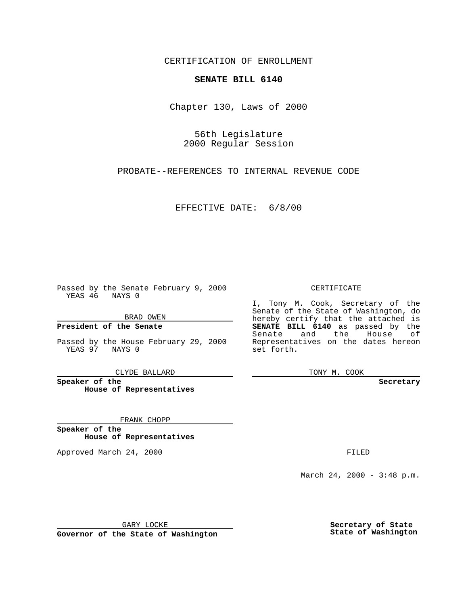CERTIFICATION OF ENROLLMENT

## **SENATE BILL 6140**

Chapter 130, Laws of 2000

56th Legislature 2000 Regular Session

PROBATE--REFERENCES TO INTERNAL REVENUE CODE

EFFECTIVE DATE: 6/8/00

Passed by the Senate February 9, 2000 YEAS 46 NAYS 0

BRAD OWEN

**President of the Senate**

Passed by the House February 29, 2000 YEAS 97 NAYS 0

CLYDE BALLARD

**Speaker of the House of Representatives**

FRANK CHOPP

**Speaker of the House of Representatives**

Approved March 24, 2000 FILED

## CERTIFICATE

I, Tony M. Cook, Secretary of the Senate of the State of Washington, do hereby certify that the attached is **SENATE BILL 6140** as passed by the Senate and the House of Representatives on the dates hereon set forth.

TONY M. COOK

**Secretary**

March 24, 2000 - 3:48 p.m.

GARY LOCKE

**Governor of the State of Washington**

**Secretary of State State of Washington**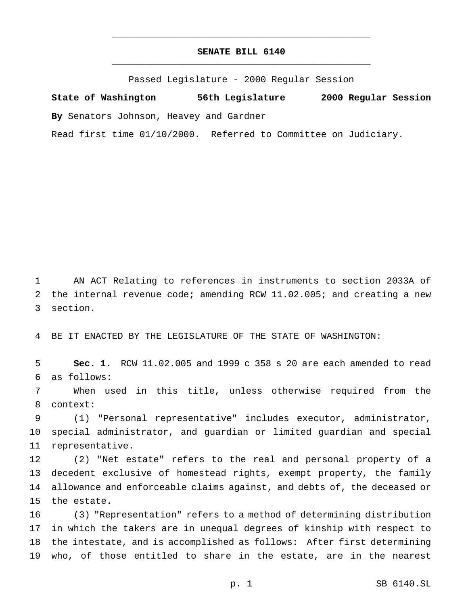## **SENATE BILL 6140** \_\_\_\_\_\_\_\_\_\_\_\_\_\_\_\_\_\_\_\_\_\_\_\_\_\_\_\_\_\_\_\_\_\_\_\_\_\_\_\_\_\_\_\_\_\_\_

\_\_\_\_\_\_\_\_\_\_\_\_\_\_\_\_\_\_\_\_\_\_\_\_\_\_\_\_\_\_\_\_\_\_\_\_\_\_\_\_\_\_\_\_\_\_\_

Passed Legislature - 2000 Regular Session

**State of Washington 56th Legislature 2000 Regular Session By** Senators Johnson, Heavey and Gardner

Read first time 01/10/2000. Referred to Committee on Judiciary.

 AN ACT Relating to references in instruments to section 2033A of the internal revenue code; amending RCW 11.02.005; and creating a new section.

BE IT ENACTED BY THE LEGISLATURE OF THE STATE OF WASHINGTON:

 **Sec. 1.** RCW 11.02.005 and 1999 c 358 s 20 are each amended to read as follows:

 When used in this title, unless otherwise required from the context:

 (1) "Personal representative" includes executor, administrator, special administrator, and guardian or limited guardian and special representative.

 (2) "Net estate" refers to the real and personal property of a decedent exclusive of homestead rights, exempt property, the family allowance and enforceable claims against, and debts of, the deceased or the estate.

 (3) "Representation" refers to a method of determining distribution in which the takers are in unequal degrees of kinship with respect to the intestate, and is accomplished as follows: After first determining who, of those entitled to share in the estate, are in the nearest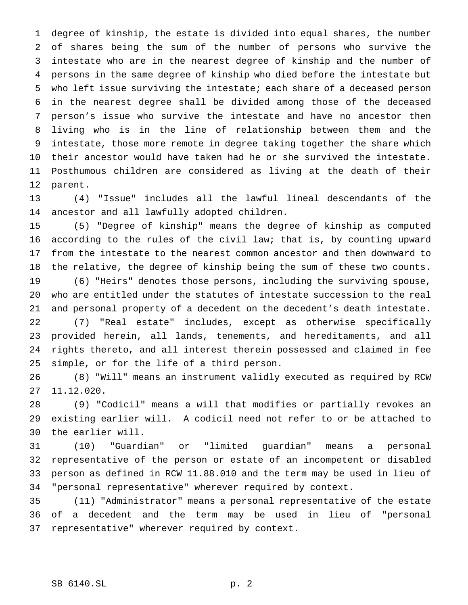degree of kinship, the estate is divided into equal shares, the number of shares being the sum of the number of persons who survive the intestate who are in the nearest degree of kinship and the number of persons in the same degree of kinship who died before the intestate but who left issue surviving the intestate; each share of a deceased person in the nearest degree shall be divided among those of the deceased person's issue who survive the intestate and have no ancestor then living who is in the line of relationship between them and the intestate, those more remote in degree taking together the share which their ancestor would have taken had he or she survived the intestate. Posthumous children are considered as living at the death of their parent.

 (4) "Issue" includes all the lawful lineal descendants of the ancestor and all lawfully adopted children.

 (5) "Degree of kinship" means the degree of kinship as computed according to the rules of the civil law; that is, by counting upward from the intestate to the nearest common ancestor and then downward to the relative, the degree of kinship being the sum of these two counts.

 (6) "Heirs" denotes those persons, including the surviving spouse, who are entitled under the statutes of intestate succession to the real and personal property of a decedent on the decedent's death intestate.

 (7) "Real estate" includes, except as otherwise specifically provided herein, all lands, tenements, and hereditaments, and all rights thereto, and all interest therein possessed and claimed in fee simple, or for the life of a third person.

 (8) "Will" means an instrument validly executed as required by RCW 11.12.020.

 (9) "Codicil" means a will that modifies or partially revokes an existing earlier will. A codicil need not refer to or be attached to the earlier will.

 (10) "Guardian" or "limited guardian" means a personal representative of the person or estate of an incompetent or disabled person as defined in RCW 11.88.010 and the term may be used in lieu of "personal representative" wherever required by context.

 (11) "Administrator" means a personal representative of the estate of a decedent and the term may be used in lieu of "personal representative" wherever required by context.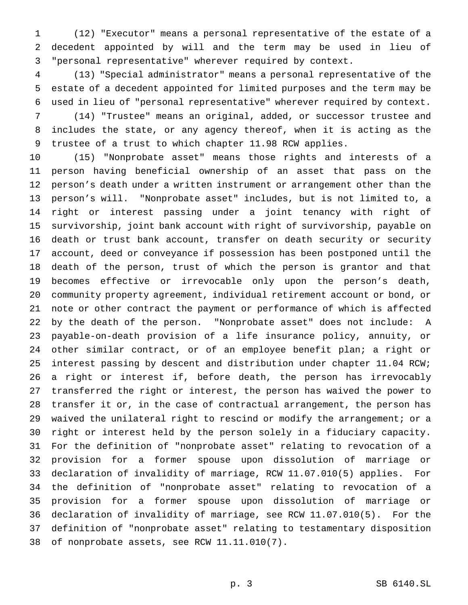(12) "Executor" means a personal representative of the estate of a decedent appointed by will and the term may be used in lieu of "personal representative" wherever required by context.

 (13) "Special administrator" means a personal representative of the estate of a decedent appointed for limited purposes and the term may be used in lieu of "personal representative" wherever required by context.

 (14) "Trustee" means an original, added, or successor trustee and includes the state, or any agency thereof, when it is acting as the trustee of a trust to which chapter 11.98 RCW applies.

 (15) "Nonprobate asset" means those rights and interests of a person having beneficial ownership of an asset that pass on the person's death under a written instrument or arrangement other than the person's will. "Nonprobate asset" includes, but is not limited to, a right or interest passing under a joint tenancy with right of survivorship, joint bank account with right of survivorship, payable on death or trust bank account, transfer on death security or security account, deed or conveyance if possession has been postponed until the death of the person, trust of which the person is grantor and that becomes effective or irrevocable only upon the person's death, community property agreement, individual retirement account or bond, or note or other contract the payment or performance of which is affected by the death of the person. "Nonprobate asset" does not include: A payable-on-death provision of a life insurance policy, annuity, or other similar contract, or of an employee benefit plan; a right or interest passing by descent and distribution under chapter 11.04 RCW; a right or interest if, before death, the person has irrevocably transferred the right or interest, the person has waived the power to transfer it or, in the case of contractual arrangement, the person has waived the unilateral right to rescind or modify the arrangement; or a right or interest held by the person solely in a fiduciary capacity. For the definition of "nonprobate asset" relating to revocation of a provision for a former spouse upon dissolution of marriage or declaration of invalidity of marriage, RCW 11.07.010(5) applies. For the definition of "nonprobate asset" relating to revocation of a provision for a former spouse upon dissolution of marriage or declaration of invalidity of marriage, see RCW 11.07.010(5). For the definition of "nonprobate asset" relating to testamentary disposition of nonprobate assets, see RCW 11.11.010(7).